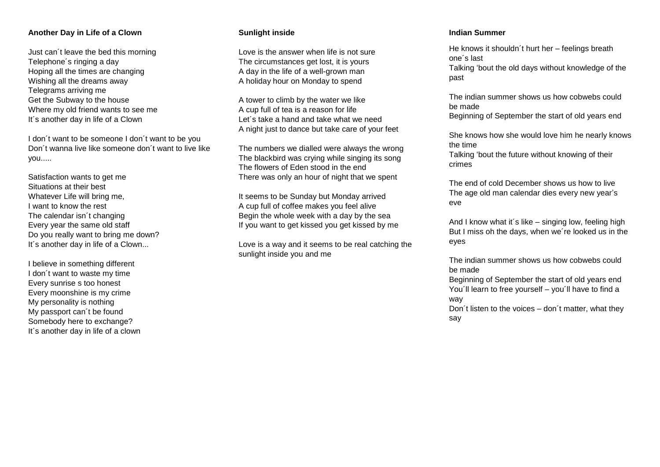## **Another Day in Life of a Clown**

Just can´t leave the bed this morning Telephone´s ringing a day Hoping all the times are changing Wishing all the dreams away Telegrams arriving me Get the Subway to the house Where my old friend wants to see me It's another day in life of a Clown

I don´t want to be someone I don´t want to be you Don´t wanna live like someone don´t want to live like you.....

Satisfaction wants to get me Situations at their best Whatever Life will bring me, I want to know the rest The calendar isn't changing Every year the same old staff Do you really want to bring me down? It's another day in life of a Clown...

I believe in something different I don´t want to waste my time Every sunrise s too honest Every moonshine is my crime My personality is nothing My passport can´t be found Somebody here to exchange? It´s another day in life of a clown

## **Sunlight inside**

Love is the answer when life is not sure The circumstances get lost, it is yours A day in the life of a well-grown man A holiday hour on Monday to spend

A tower to climb by the water we like A cup full of tea is a reason for life Let´s take a hand and take what we need A night just to dance but take care of your feet

The numbers we dialled were always the wrong The blackbird was crying while singing its song The flowers of Eden stood in the end There was only an hour of night that we spent

It seems to be Sunday but Monday arrived A cup full of coffee makes you feel alive Begin the whole week with a day by the sea If you want to get kissed you get kissed by me

Love is a way and it seems to be real catching the sunlight inside you and me

### **Indian Summer**

He knows it shouldn´t hurt her – feelings breath one´s last Talking 'bout the old days without knowledge of the past

The indian summer shows us how cobwebs could be made

Beginning of September the start of old years end

She knows how she would love him he nearly knows the time

Talking 'bout the future without knowing of their crimes

The end of cold December shows us how to live The age old man calendar dies every new year's eve

And I know what it´s like – singing low, feeling high But I miss oh the days, when we´re looked us in the eyes

The indian summer shows us how cobwebs could be made

Beginning of September the start of old years end You'll learn to free yourself – you'll have to find a way

Don´t listen to the voices – don´t matter, what they say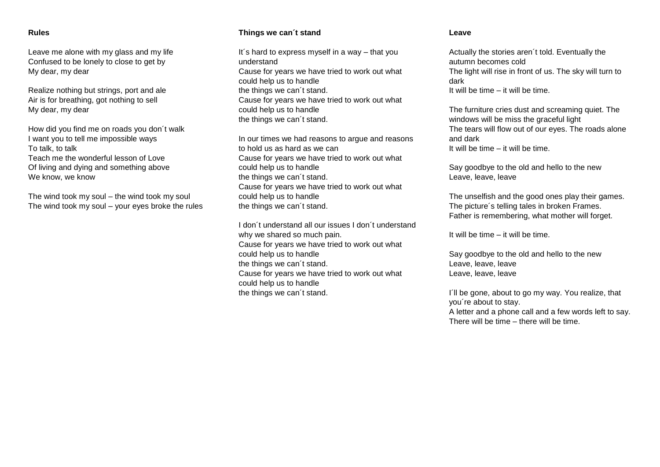### **Rules**

Leave me alone with my glass and my life Confused to be lonely to close to get by My dear, my dear

Realize nothing but strings, port and ale Air is for breathing, got nothing to sell My dear, my dear

How did you find me on roads you don´t walk I want you to tell me impossible ways To talk, to talk Teach me the wonderful lesson of Love Of living and dying and something above We know, we know

The wind took my soul – the wind took my soul The wind took my soul – your eyes broke the rules

# **Things we can´t stand**

It's hard to express myself in a way - that you understand Cause for years we have tried to work out what could help us to handle the things we can´t stand. Cause for years we have tried to work out what could help us to handle the things we can´t stand.

In our times we had reasons to argue and reasons to hold us as hard as we can Cause for years we have tried to work out what could help us to handle the things we can´t stand. Cause for years we have tried to work out what could help us to handle the things we can´t stand.

I don´t understand all our issues I don´t understand why we shared so much pain. Cause for years we have tried to work out what could help us to handle the things we can´t stand. Cause for years we have tried to work out what could help us to handle the things we can´t stand.

#### **Leave**

Actually the stories aren´t told. Eventually the autumn becomes cold The light will rise in front of us. The sky will turn to dark It will be time – it will be time.

The furniture cries dust and screaming quiet. The windows will be miss the graceful light The tears will flow out of our eyes. The roads alone and dark It will be time – it will be time.

Say goodbye to the old and hello to the new Leave, leave, leave

The unselfish and the good ones play their games. The picture´s telling tales in broken Frames. Father is remembering, what mother will forget.

It will be time – it will be time.

Say goodbye to the old and hello to the new Leave, leave, leave Leave, leave, leave

I'll be gone, about to go my way. You realize, that you´re about to stay.

A letter and a phone call and a few words left to say. There will be time – there will be time.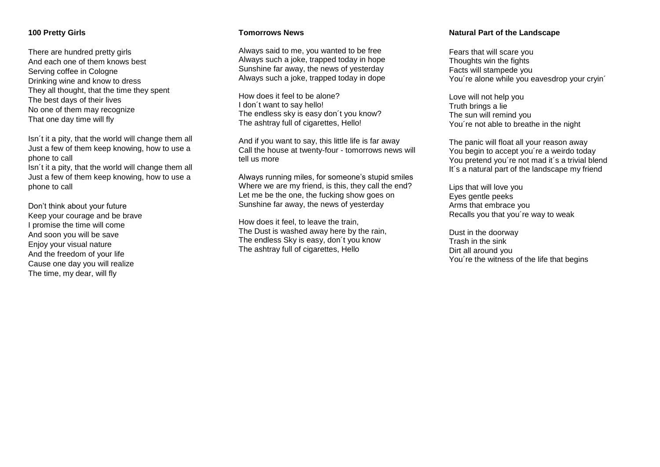### **100 Pretty Girls**

There are hundred pretty girls And each one of them knows best Serving coffee in Cologne Drinking wine and know to dress They all thought, that the time they spent The best days of their lives No one of them may recognize That one day time will fly

Isn´t it a pity, that the world will change them all Just a few of them keep knowing, how to use a phone to call

Isn´t it a pity, that the world will change them all Just a few of them keep knowing, how to use a phone to call

Don't think about your future Keep your courage and be brave I promise the time will come And soon you will be save Enjoy your visual nature And the freedom of your life Cause one day you will realize The time, my dear, will fly

#### **Tomorrows News**

Always said to me, you wanted to be free Always such a joke, trapped today in hope Sunshine far away, the news of yesterday Always such a joke, trapped today in dope

How does it feel to be alone? I don´t want to say hello! The endless sky is easy don´t you know? The ashtray full of cigarettes, Hello!

And if you want to say, this little life is far away Call the house at twenty-four - tomorrows news will tell us more

Always running miles, for someone's stupid smiles Where we are my friend, is this, they call the end? Let me be the one, the fucking show goes on Sunshine far away, the news of yesterday

How does it feel, to leave the train, The Dust is washed away here by the rain, The endless Sky is easy, don´t you know The ashtray full of cigarettes, Hello

#### **Natural Part of the Landscape**

Fears that will scare you Thoughts win the fights Facts will stampede you You're alone while you eavesdrop your cryin'

Love will not help you Truth brings a lie The sun will remind you You´re not able to breathe in the night

The panic will float all your reason away You begin to accept you´re a weirdo today You pretend you´re not mad it´s a trivial blend It's a natural part of the landscape my friend

Lips that will love you Eyes gentle peeks Arms that embrace you Recalls you that you´re way to weak

Dust in the doorway Trash in the sink Dirt all around you You´re the witness of the life that begins